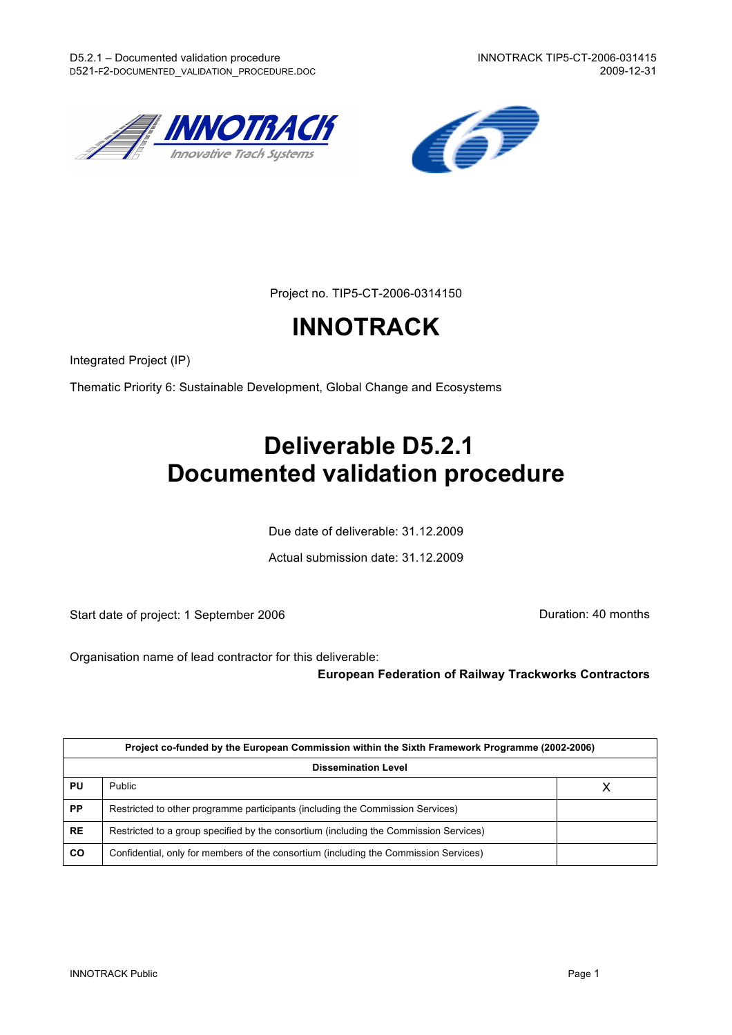



Project no. TIP5-CT-2006-0314150

# **INNOTRACK**

Integrated Project (IP)

Thematic Priority 6: Sustainable Development, Global Change and Ecosystems

# **Deliverable D5.2.1 Documented validation procedure**

Due date of deliverable: 31.12.2009

Actual submission date: 31.12.2009

Start date of project: 1 September 2006 **Duration: 40 months** 

Organisation name of lead contractor for this deliverable:

#### **European Federation of Railway Trackworks Contractors**

| Project co-funded by the European Commission within the Sixth Framework Programme (2002-2006) |                                                                                       |  |  |  |  |  |
|-----------------------------------------------------------------------------------------------|---------------------------------------------------------------------------------------|--|--|--|--|--|
| <b>Dissemination Level</b>                                                                    |                                                                                       |  |  |  |  |  |
| PU                                                                                            | Public                                                                                |  |  |  |  |  |
| PP                                                                                            | Restricted to other programme participants (including the Commission Services)        |  |  |  |  |  |
| <b>RE</b>                                                                                     | Restricted to a group specified by the consortium (including the Commission Services) |  |  |  |  |  |
| CO                                                                                            | Confidential, only for members of the consortium (including the Commission Services)  |  |  |  |  |  |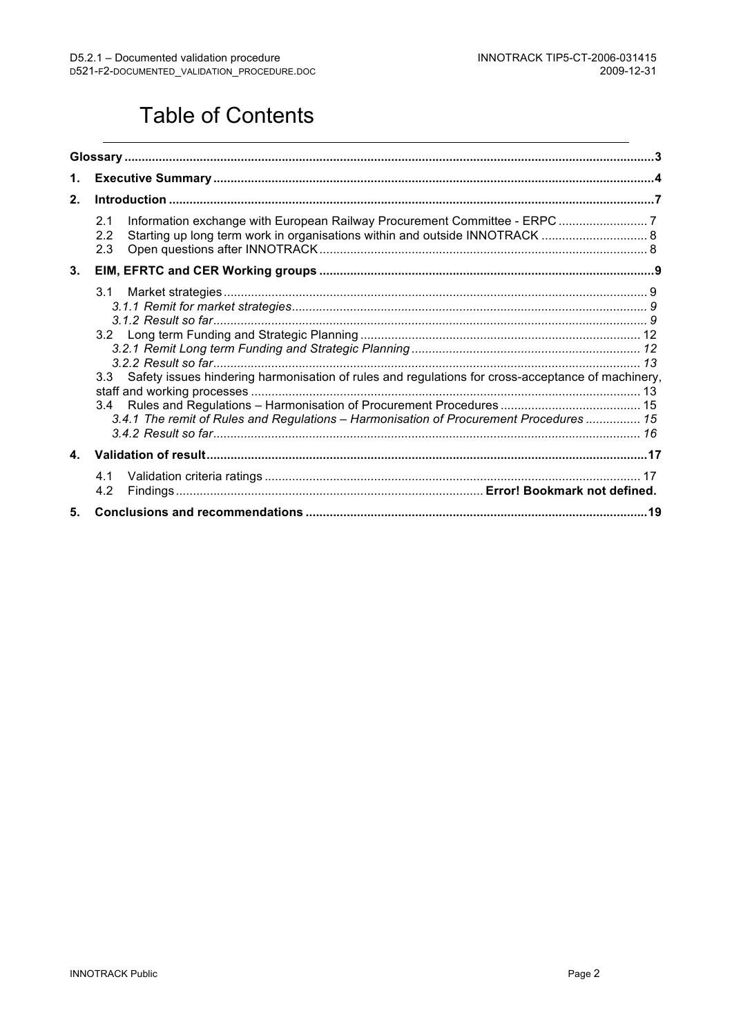## Table of Contents

| 1.           |                                                                                                                                                                                                        |    |  |  |  |  |  |  |
|--------------|--------------------------------------------------------------------------------------------------------------------------------------------------------------------------------------------------------|----|--|--|--|--|--|--|
| 2.           |                                                                                                                                                                                                        |    |  |  |  |  |  |  |
|              | 2.1<br>Starting up long term work in organisations within and outside INNOTRACK  8<br>2.2<br>2.3                                                                                                       |    |  |  |  |  |  |  |
| 3.           |                                                                                                                                                                                                        |    |  |  |  |  |  |  |
|              | 3.1<br>3.3 Safety issues hindering harmonisation of rules and regulations for cross-acceptance of machinery,<br>3.4.1 The remit of Rules and Regulations - Harmonisation of Procurement Procedures  15 |    |  |  |  |  |  |  |
| $\mathbf{4}$ |                                                                                                                                                                                                        |    |  |  |  |  |  |  |
|              | 4.1<br>4.2                                                                                                                                                                                             | 17 |  |  |  |  |  |  |
| 5.           |                                                                                                                                                                                                        |    |  |  |  |  |  |  |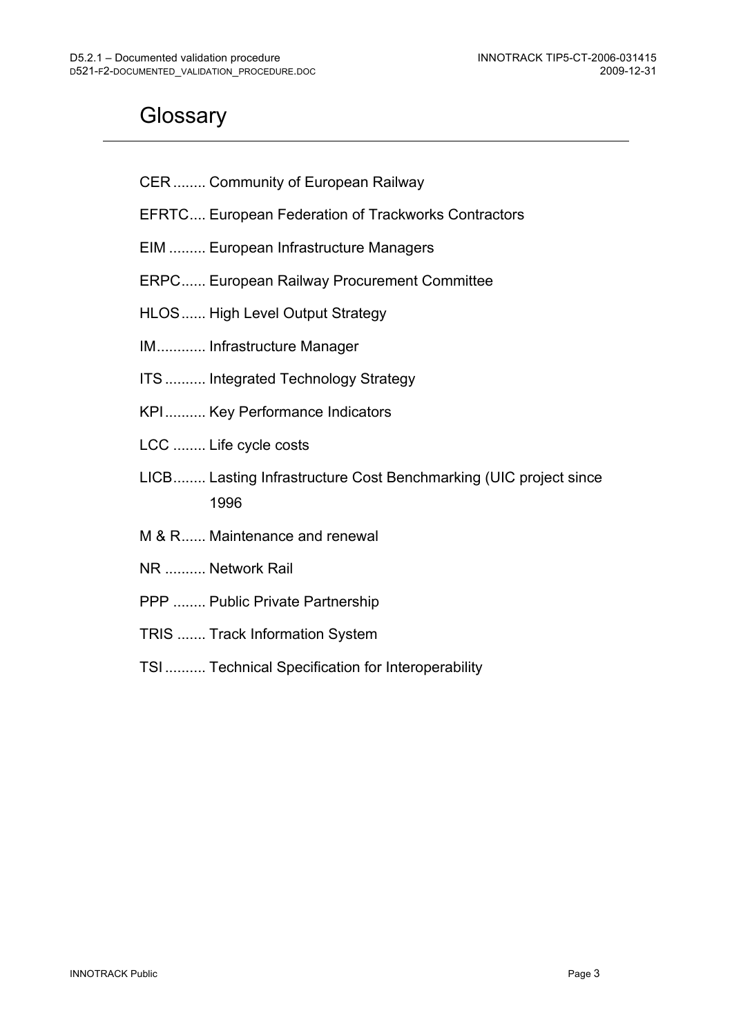## **Glossary**

- CER ........ Community of European Railway
- EFRTC.... European Federation of Trackworks Contractors
- EIM ......... European Infrastructure Managers
- ERPC...... European Railway Procurement Committee
- HLOS...... High Level Output Strategy
- IM............ Infrastructure Manager
- ITS.......... Integrated Technology Strategy
- KPI.......... Key Performance Indicators
- LCC ........ Life cycle costs
- LICB........ Lasting Infrastructure Cost Benchmarking (UIC project since 1996
- M & R...... Maintenance and renewal
- NR .......... Network Rail
- PPP ........ Public Private Partnership
- TRIS ....... Track Information System
- TSI .......... Technical Specification for Interoperability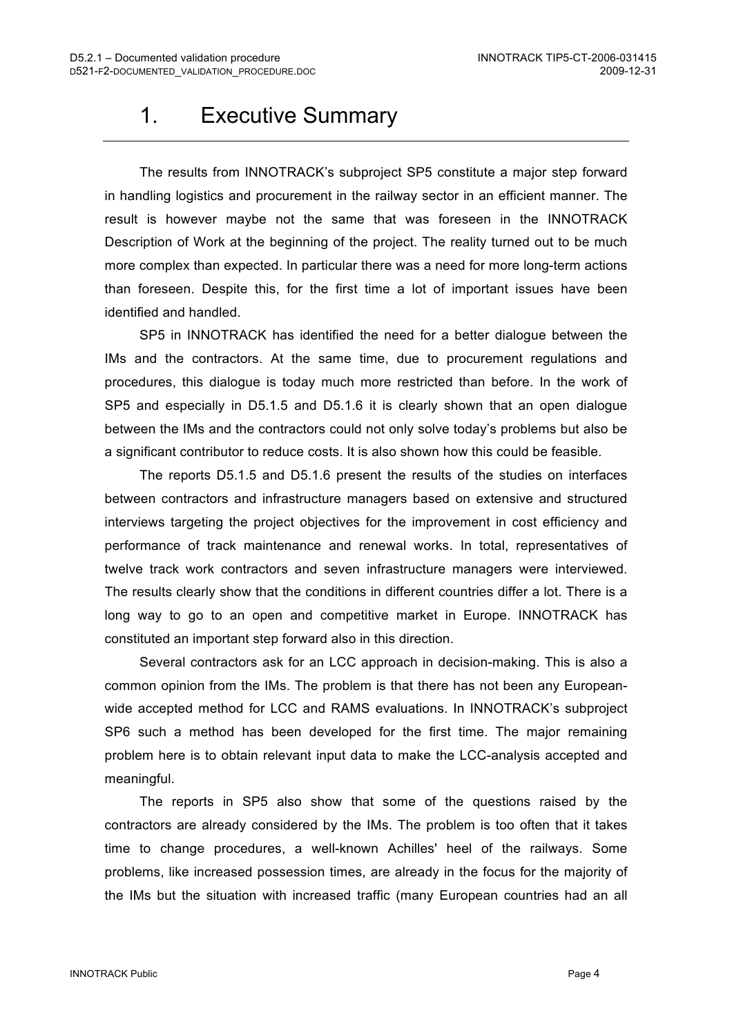## 1. Executive Summary

The results from INNOTRACK's subproject SP5 constitute a major step forward in handling logistics and procurement in the railway sector in an efficient manner. The result is however maybe not the same that was foreseen in the INNOTRACK Description of Work at the beginning of the project. The reality turned out to be much more complex than expected. In particular there was a need for more long-term actions than foreseen. Despite this, for the first time a lot of important issues have been identified and handled.

SP5 in INNOTRACK has identified the need for a better dialogue between the IMs and the contractors. At the same time, due to procurement regulations and procedures, this dialogue is today much more restricted than before. In the work of SP5 and especially in D5.1.5 and D5.1.6 it is clearly shown that an open dialogue between the IMs and the contractors could not only solve today's problems but also be a significant contributor to reduce costs. It is also shown how this could be feasible.

The reports D5.1.5 and D5.1.6 present the results of the studies on interfaces between contractors and infrastructure managers based on extensive and structured interviews targeting the project objectives for the improvement in cost efficiency and performance of track maintenance and renewal works. In total, representatives of twelve track work contractors and seven infrastructure managers were interviewed. The results clearly show that the conditions in different countries differ a lot. There is a long way to go to an open and competitive market in Europe. INNOTRACK has constituted an important step forward also in this direction.

Several contractors ask for an LCC approach in decision-making. This is also a common opinion from the IMs. The problem is that there has not been any Europeanwide accepted method for LCC and RAMS evaluations. In INNOTRACK's subproject SP6 such a method has been developed for the first time. The major remaining problem here is to obtain relevant input data to make the LCC-analysis accepted and meaningful.

The reports in SP5 also show that some of the questions raised by the contractors are already considered by the IMs. The problem is too often that it takes time to change procedures, a well-known Achilles' heel of the railways. Some problems, like increased possession times, are already in the focus for the majority of the IMs but the situation with increased traffic (many European countries had an all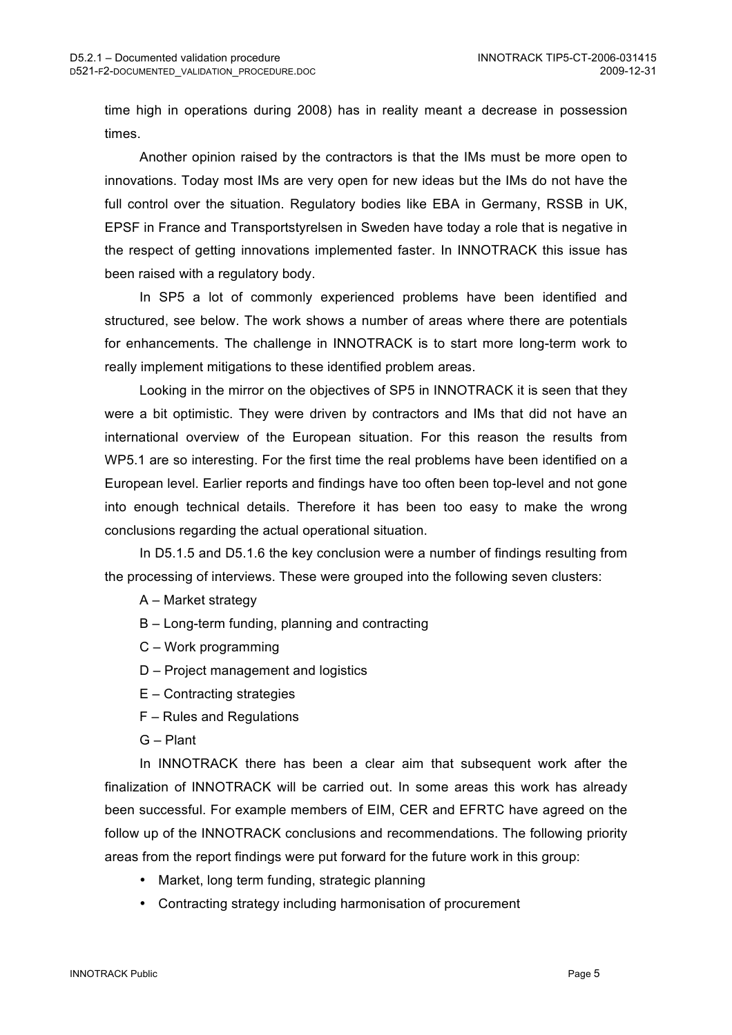time high in operations during 2008) has in reality meant a decrease in possession times.

Another opinion raised by the contractors is that the IMs must be more open to innovations. Today most IMs are very open for new ideas but the IMs do not have the full control over the situation. Regulatory bodies like EBA in Germany, RSSB in UK, EPSF in France and Transportstyrelsen in Sweden have today a role that is negative in the respect of getting innovations implemented faster. In INNOTRACK this issue has been raised with a regulatory body.

In SP5 a lot of commonly experienced problems have been identified and structured, see below. The work shows a number of areas where there are potentials for enhancements. The challenge in INNOTRACK is to start more long-term work to really implement mitigations to these identified problem areas.

Looking in the mirror on the objectives of SP5 in INNOTRACK it is seen that they were a bit optimistic. They were driven by contractors and IMs that did not have an international overview of the European situation. For this reason the results from WP5.1 are so interesting. For the first time the real problems have been identified on a European level. Earlier reports and findings have too often been top-level and not gone into enough technical details. Therefore it has been too easy to make the wrong conclusions regarding the actual operational situation.

In D5.1.5 and D5.1.6 the key conclusion were a number of findings resulting from the processing of interviews. These were grouped into the following seven clusters:

A – Market strategy

- B Long-term funding, planning and contracting
- C Work programming
- D Project management and logistics
- E Contracting strategies
- F Rules and Regulations
- G Plant

In INNOTRACK there has been a clear aim that subsequent work after the finalization of INNOTRACK will be carried out. In some areas this work has already been successful. For example members of EIM, CER and EFRTC have agreed on the follow up of the INNOTRACK conclusions and recommendations. The following priority areas from the report findings were put forward for the future work in this group:

- Market, long term funding, strategic planning
- Contracting strategy including harmonisation of procurement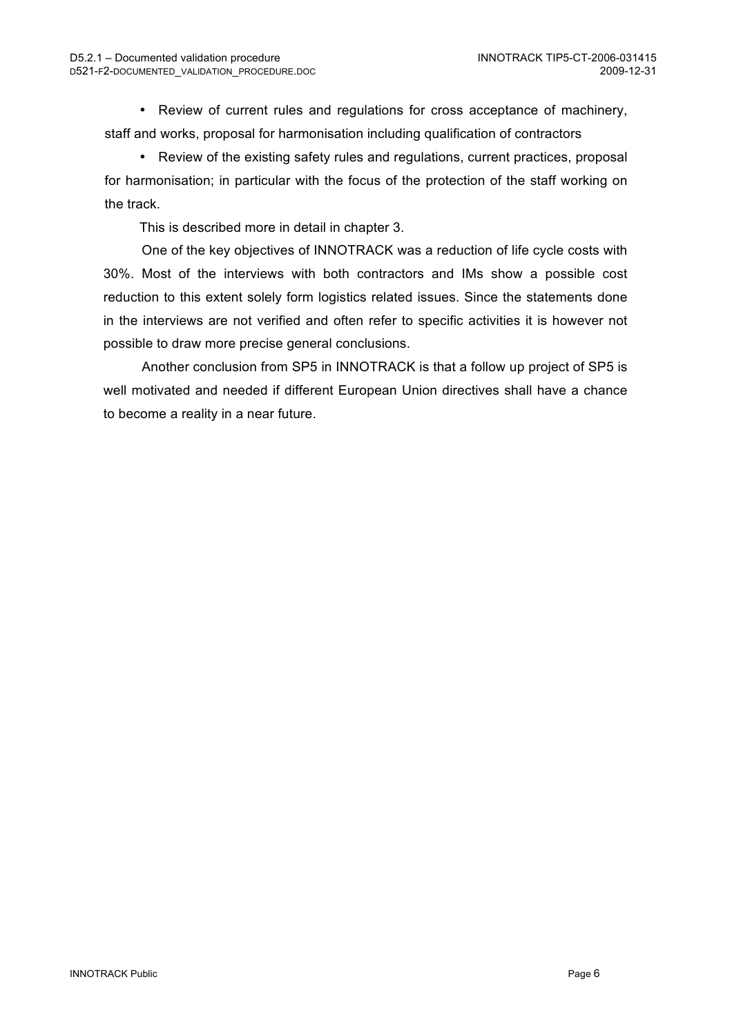• Review of current rules and regulations for cross acceptance of machinery, staff and works, proposal for harmonisation including qualification of contractors

• Review of the existing safety rules and regulations, current practices, proposal for harmonisation; in particular with the focus of the protection of the staff working on the track.

This is described more in detail in chapter 3.

One of the key objectives of INNOTRACK was a reduction of life cycle costs with 30%. Most of the interviews with both contractors and IMs show a possible cost reduction to this extent solely form logistics related issues. Since the statements done in the interviews are not verified and often refer to specific activities it is however not possible to draw more precise general conclusions.

Another conclusion from SP5 in INNOTRACK is that a follow up project of SP5 is well motivated and needed if different European Union directives shall have a chance to become a reality in a near future.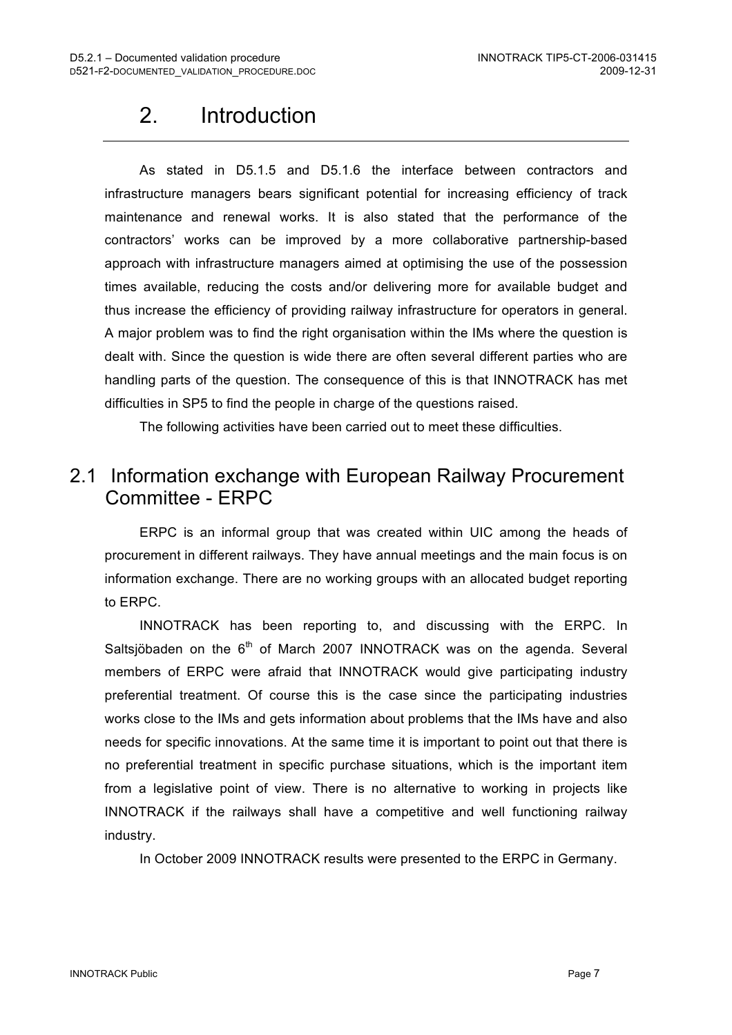## 2. Introduction

As stated in D5.1.5 and D5.1.6 the interface between contractors and infrastructure managers bears significant potential for increasing efficiency of track maintenance and renewal works. It is also stated that the performance of the contractors' works can be improved by a more collaborative partnership-based approach with infrastructure managers aimed at optimising the use of the possession times available, reducing the costs and/or delivering more for available budget and thus increase the efficiency of providing railway infrastructure for operators in general. A major problem was to find the right organisation within the IMs where the question is dealt with. Since the question is wide there are often several different parties who are handling parts of the question. The consequence of this is that INNOTRACK has met difficulties in SP5 to find the people in charge of the questions raised.

The following activities have been carried out to meet these difficulties.

### 2.1 Information exchange with European Railway Procurement Committee - ERPC

ERPC is an informal group that was created within UIC among the heads of procurement in different railways. They have annual meetings and the main focus is on information exchange. There are no working groups with an allocated budget reporting to ERPC.

INNOTRACK has been reporting to, and discussing with the ERPC. In Saltsjöbaden on the  $6<sup>th</sup>$  of March 2007 INNOTRACK was on the agenda. Several members of ERPC were afraid that INNOTRACK would give participating industry preferential treatment. Of course this is the case since the participating industries works close to the IMs and gets information about problems that the IMs have and also needs for specific innovations. At the same time it is important to point out that there is no preferential treatment in specific purchase situations, which is the important item from a legislative point of view. There is no alternative to working in projects like INNOTRACK if the railways shall have a competitive and well functioning railway industry.

In October 2009 INNOTRACK results were presented to the ERPC in Germany.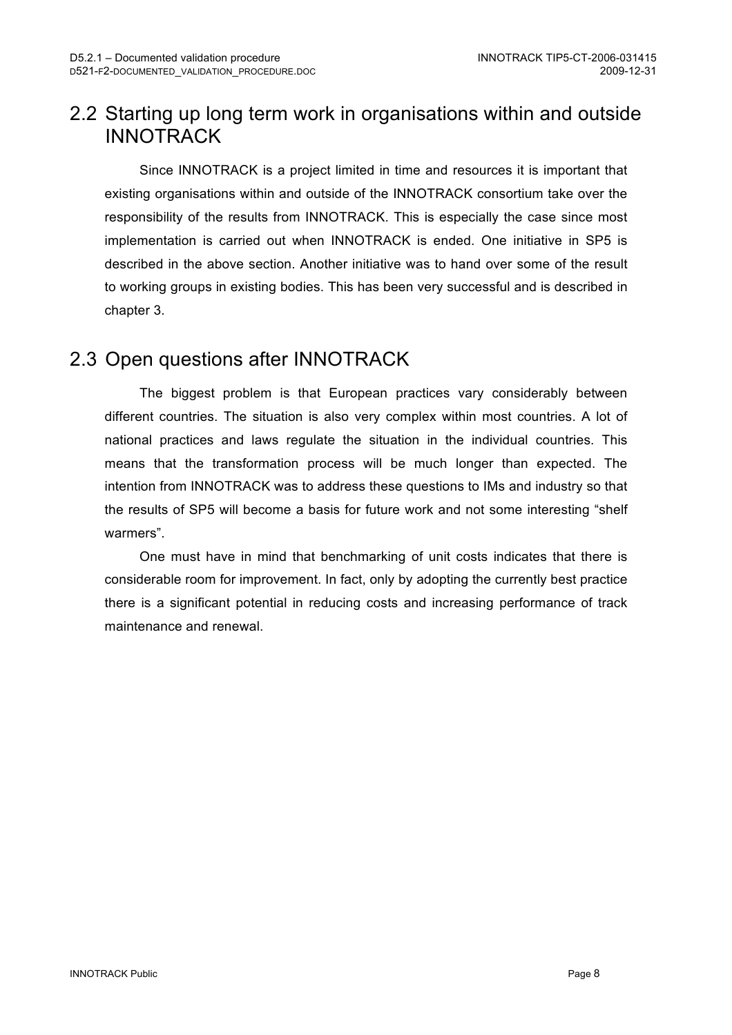### 2.2 Starting up long term work in organisations within and outside **INNOTRACK**

Since INNOTRACK is a project limited in time and resources it is important that existing organisations within and outside of the INNOTRACK consortium take over the responsibility of the results from INNOTRACK. This is especially the case since most implementation is carried out when INNOTRACK is ended. One initiative in SP5 is described in the above section. Another initiative was to hand over some of the result to working groups in existing bodies. This has been very successful and is described in chapter 3.

### 2.3 Open questions after INNOTRACK

The biggest problem is that European practices vary considerably between different countries. The situation is also very complex within most countries. A lot of national practices and laws regulate the situation in the individual countries. This means that the transformation process will be much longer than expected. The intention from INNOTRACK was to address these questions to IMs and industry so that the results of SP5 will become a basis for future work and not some interesting "shelf warmers".

One must have in mind that benchmarking of unit costs indicates that there is considerable room for improvement. In fact, only by adopting the currently best practice there is a significant potential in reducing costs and increasing performance of track maintenance and renewal.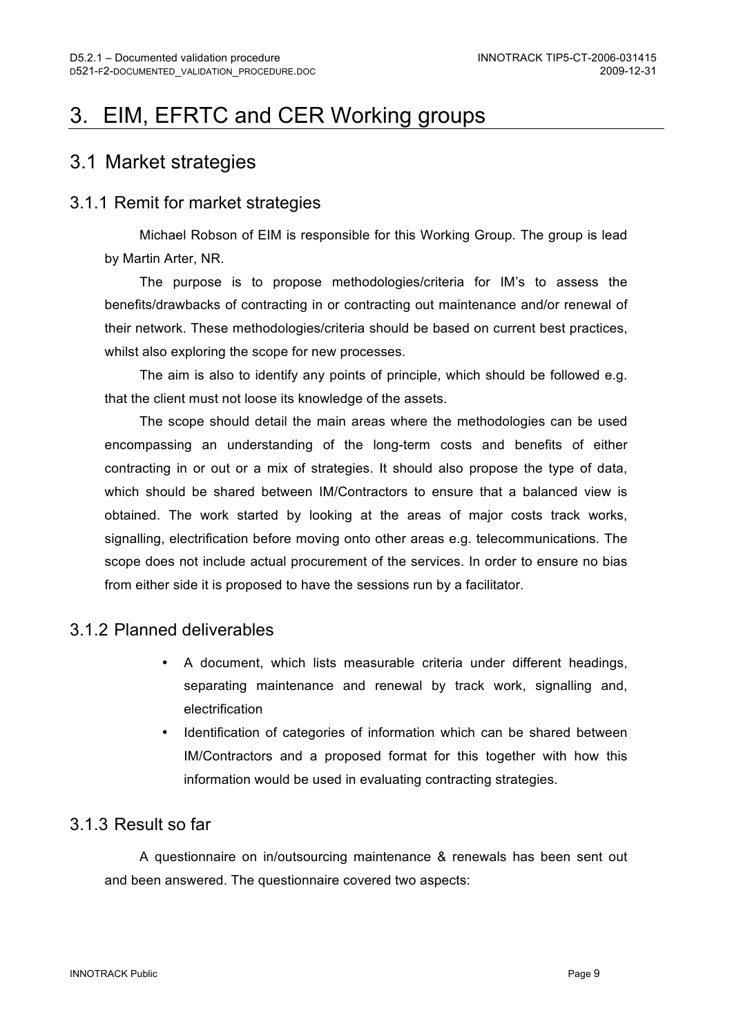## 3. EIM, EFRTC and CER Working groups

#### 3.1 Market strategies

#### 3.1.1 Remit for market strategies

Michael Robson of EIM is responsible for this Working Group. The group is lead by Martin Arter, NR.

The purpose is to propose methodologies/criteria for IM's to assess the benefits/drawbacks of contracting in or contracting out maintenance and/or renewal of their network. These methodologies/criteria should be based on current best practices, whilst also exploring the scope for new processes.

The aim is also to identify any points of principle, which should be followed e.g. that the client must not loose its knowledge of the assets.

The scope should detail the main areas where the methodologies can be used encompassing an understanding of the long-term costs and benefits of either contracting in or out or a mix of strategies. It should also propose the type of data, which should be shared between IM/Contractors to ensure that a balanced view is obtained. The work started by looking at the areas of major costs track works, signalling, electrification before moving onto other areas e.g. telecommunications. The scope does not include actual procurement of the services. In order to ensure no bias from either side it is proposed to have the sessions run by a facilitator.

#### 3.1.2 Planned deliverables

- A document, which lists measurable criteria under different headings, separating maintenance and renewal by track work, signalling and, electrification
- Identification of categories of information which can be shared between IM/Contractors and a proposed format for this together with how this information would be used in evaluating contracting strategies.

#### 3.1.3 Result so far

A questionnaire on in/outsourcing maintenance & renewals has been sent out and been answered. The questionnaire covered two aspects: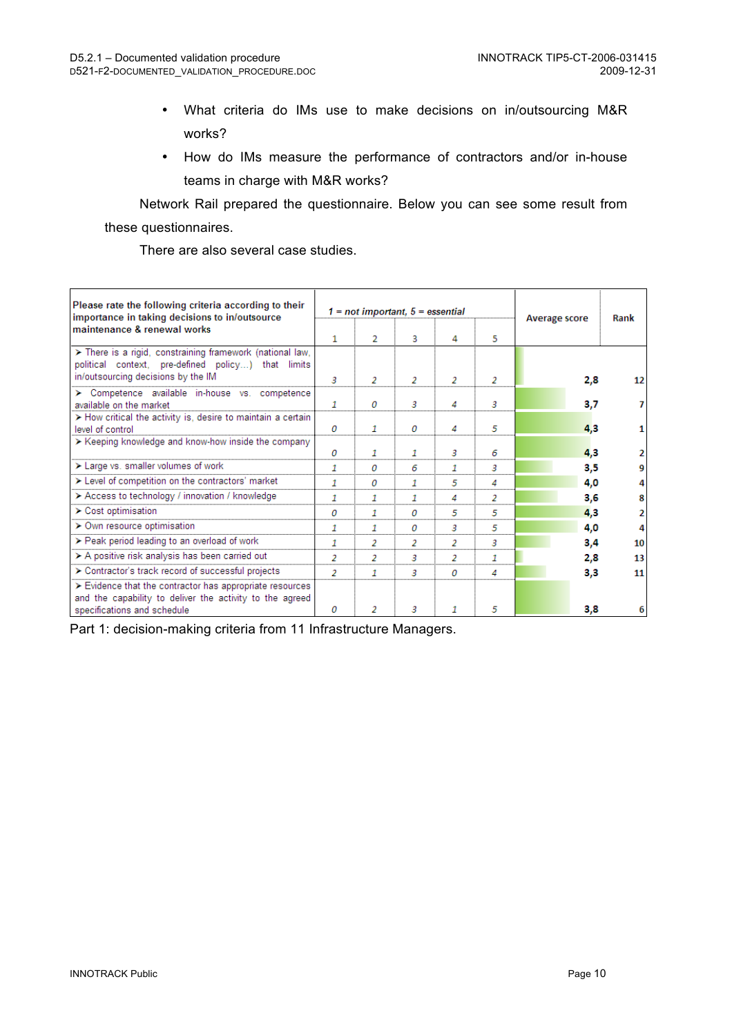- What criteria do IMs use to make decisions on in/outsourcing M&R works?
- How do IMs measure the performance of contractors and/or in-house teams in charge with M&R works?

Network Rail prepared the questionnaire. Below you can see some result from these questionnaires.

There are also several case studies.

| Please rate the following criteria according to their<br>importance in taking decisions to in/outsource                                               |   |    | $1 = not important, 5 = essential$ | <b>Average score</b> | Rank |     |    |
|-------------------------------------------------------------------------------------------------------------------------------------------------------|---|----|------------------------------------|----------------------|------|-----|----|
| maintenance & renewal works                                                                                                                           |   | 2  | 3                                  | 4                    | 5.   |     |    |
| > There is a rigid, constraining framework (national law,<br>political context, pre-defined policy) that limits<br>in/outsourcing decisions by the IM | 3 | 2  | 2                                  | 2                    | 2    | 2,8 | 12 |
| > Competence available in-house vs. competence<br>available on the market                                                                             | 1 | 0  | з                                  | 4                    | з    | 3,7 |    |
| > How critical the activity is, desire to maintain a certain<br>level of control                                                                      | 0 | -1 | 0                                  | 4                    | 5    | 4,3 |    |
| > Keeping knowledge and know-how inside the company                                                                                                   | 0 | 1  | 1                                  | 3                    | 6    | 4,3 |    |
| > Large vs. smaller volumes of work                                                                                                                   | 1 | 0  | 6                                  | 1                    | з    | 3,5 |    |
| > Level of competition on the contractors' market                                                                                                     | 1 | 0  | 1                                  | 5                    | 4    | 4,0 |    |
| > Access to technology / innovation / knowledge                                                                                                       | 1 | 1  |                                    | 4                    | 2    | 3,6 |    |
| > Cost optimisation                                                                                                                                   | 0 | -1 | $\Omega$                           | 5                    | 5    | 4,3 | 2  |
| > Own resource optimisation                                                                                                                           | 1 | -1 | 0                                  | 3                    | 5    | 4,0 | 4  |
| > Peak period leading to an overload of work                                                                                                          | 1 | 2  | 2                                  | 2                    | з    | 3,4 | 10 |
| > A positive risk analysis has been carried out                                                                                                       | 2 | 2  | з                                  | 2                    | 1    | 2,8 | 13 |
| > Contractor's track record of successful projects                                                                                                    | 2 | 1  | з                                  | 0                    | 4    | 3,3 | 11 |
| > Evidence that the contractor has appropriate resources<br>and the capability to deliver the activity to the agreed<br>specifications and schedule   | n | 2  | з                                  | -1                   | 5    | 3,8 |    |
|                                                                                                                                                       |   |    |                                    |                      |      |     |    |

Part 1: decision-making criteria from 11 Infrastructure Managers.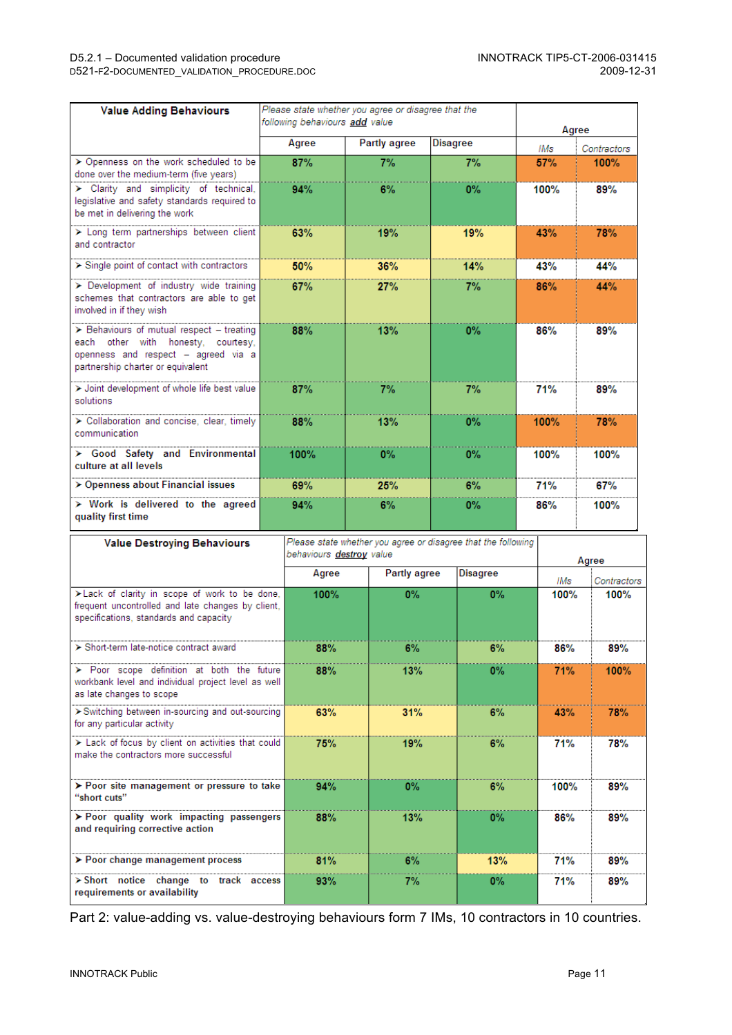D521-F2-DOCUMENTED\_VALIDATION\_PROCEDURE.DOC

| <b>Value Adding Behaviours</b>                                                                                                                              | Please state whether you agree or disagree that the<br>following behaviours add value |       |              |              |       |             |       | Agree       |  |  |  |
|-------------------------------------------------------------------------------------------------------------------------------------------------------------|---------------------------------------------------------------------------------------|-------|--------------|--------------|-------|-------------|-------|-------------|--|--|--|
|                                                                                                                                                             |                                                                                       | Agree | Partly agree | Disagree     |       |             | IMs   | Contractors |  |  |  |
| > Openness on the work scheduled to be<br>done over the medium-term (five years)                                                                            |                                                                                       | 87%   | 7%           |              | 7%    |             | 57%   | 100%        |  |  |  |
| > Clarity and simplicity of technical,<br>legislative and safety standards required to<br>be met in delivering the work                                     |                                                                                       | 94%   | 6%           |              | $0\%$ |             | 100%  | 89%         |  |  |  |
| > Long term partnerships between client<br>and contractor                                                                                                   |                                                                                       | 63%   | 19%          | 19%          |       | 43%         |       | 78%         |  |  |  |
| > Single point of contact with contractors                                                                                                                  |                                                                                       | 50%   | 36%          | 14%          |       | 43%         |       | 44%         |  |  |  |
| > Development of industry wide training<br>schemes that contractors are able to get<br>involved in if they wish                                             |                                                                                       | 67%   | 27%          |              | 7%    | 86%         |       | 44%         |  |  |  |
| > Behaviours of mutual respect - treating<br>each other with honesty, courtesy,<br>openness and respect - agreed via a<br>partnership charter or equivalent |                                                                                       | 88%   | 13%          |              | 0%    | 86%         |       | 89%         |  |  |  |
| > Joint development of whole life best value<br>solutions                                                                                                   |                                                                                       | 87%   | 7%           |              | 7%    |             | 71%   | 89%         |  |  |  |
| > Collaboration and concise, clear, timely<br>communication                                                                                                 |                                                                                       | 88%   | 13%          |              | 0%    | 100%        |       | 78%         |  |  |  |
| > Good Safety and Environmental<br>culture at all levels                                                                                                    |                                                                                       | 100%  | 0%           |              | 0%    | 100%        |       | 100%        |  |  |  |
| > Openness about Financial issues                                                                                                                           |                                                                                       | 69%   | 25%          |              | 6%    |             | 71%   | 67%         |  |  |  |
| > Work is delivered to the agreed<br>quality first time                                                                                                     |                                                                                       | 94%   | 6%           | 0%           |       | 86%         |       | 100%        |  |  |  |
| Please state whether you agree or disagree that the following<br><b>Value Destroying Behaviours</b><br>behaviours destroy value                             |                                                                                       |       |              |              |       |             | Agree |             |  |  |  |
|                                                                                                                                                             |                                                                                       | Agree |              | Partly agree |       |             | IMs   | Contractors |  |  |  |
| > Lack of clarity in scope of work to be done,<br>frequent uncontrolled and late changes by client,<br>specifications, standards and capacity               |                                                                                       | 100%  | $0\%$        |              |       |             | 100%  | 100%        |  |  |  |
| ≻ Short-term late-notice contract award                                                                                                                     |                                                                                       | 88%   |              | 6%           |       | 6%<br>86%   |       | 89%         |  |  |  |
| > Poor scope definition at both the future<br>workbank level and individual project level as well<br>as late changes to scope                               |                                                                                       | 88%   | 13%          |              | $0\%$ |             | 71%   | 100%        |  |  |  |
| > Switching between in-sourcing and out-sourcing<br>for any particular activity                                                                             |                                                                                       | 63%   | 31%          |              |       |             | 43%   | 78%         |  |  |  |
| > Lack of focus by client on activities that could<br>make the contractors more successful                                                                  |                                                                                       | 75%   | 19%          | 6%           |       | 71%         |       | 78%         |  |  |  |
| > Poor site management or pressure to take<br>"short cuts"                                                                                                  |                                                                                       | 94%   | $0\%$        |              | 6%    | <b>100%</b> |       | 89%         |  |  |  |

Part 2: value-adding vs. value-destroying behaviours form 7 IMs, 10 contractors in 10 countries.

 $13%$ 

 $6%$ 

 $7%$ 

88%

81%

 $93%$ 

> Poor quality work impacting passengers<br>and requiring corrective action

> Short notice change to track access

> Poor change management process

requirements or availability

86%

 $71%$ 

71%

89%

89%

89%

 $\overline{0\%}$ 

 $13%$ 

 $0%$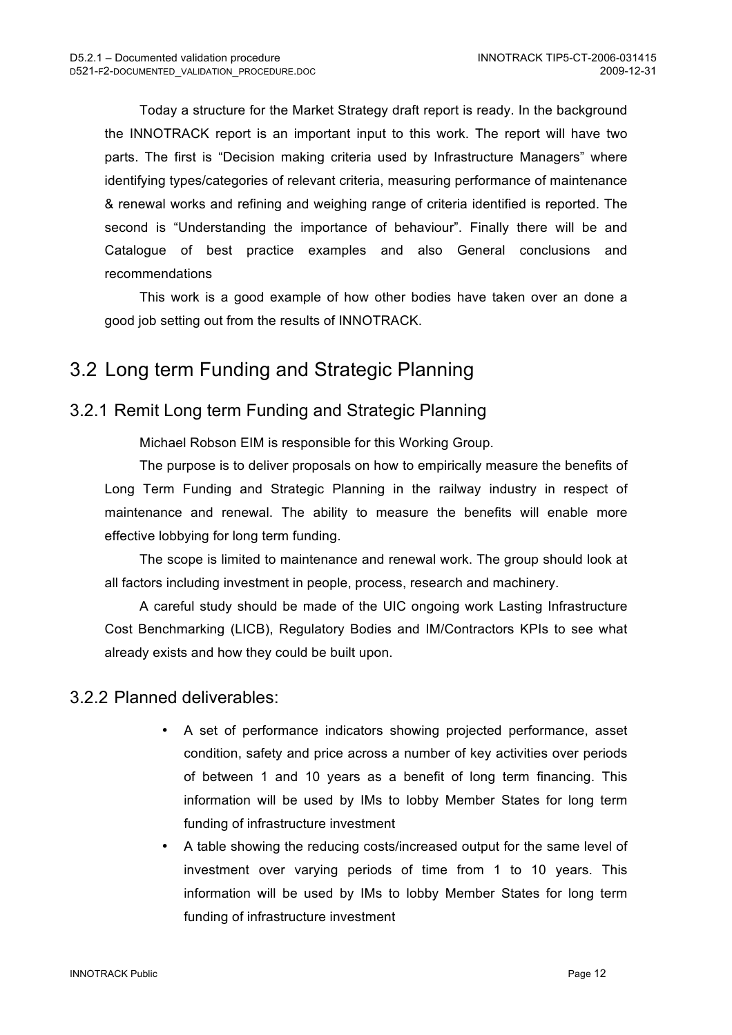Today a structure for the Market Strategy draft report is ready. In the background the INNOTRACK report is an important input to this work. The report will have two parts. The first is "Decision making criteria used by Infrastructure Managers" where identifying types/categories of relevant criteria, measuring performance of maintenance & renewal works and refining and weighing range of criteria identified is reported. The second is "Understanding the importance of behaviour". Finally there will be and Catalogue of best practice examples and also General conclusions and recommendations

This work is a good example of how other bodies have taken over an done a good job setting out from the results of INNOTRACK.

### 3.2 Long term Funding and Strategic Planning

#### 3.2.1 Remit Long term Funding and Strategic Planning

Michael Robson EIM is responsible for this Working Group.

The purpose is to deliver proposals on how to empirically measure the benefits of Long Term Funding and Strategic Planning in the railway industry in respect of maintenance and renewal. The ability to measure the benefits will enable more effective lobbying for long term funding.

The scope is limited to maintenance and renewal work. The group should look at all factors including investment in people, process, research and machinery.

A careful study should be made of the UIC ongoing work Lasting Infrastructure Cost Benchmarking (LICB), Regulatory Bodies and IM/Contractors KPIs to see what already exists and how they could be built upon.

#### 3.2.2 Planned deliverables:

- A set of performance indicators showing projected performance, asset condition, safety and price across a number of key activities over periods of between 1 and 10 years as a benefit of long term financing. This information will be used by IMs to lobby Member States for long term funding of infrastructure investment
- A table showing the reducing costs/increased output for the same level of investment over varying periods of time from 1 to 10 years. This information will be used by IMs to lobby Member States for long term funding of infrastructure investment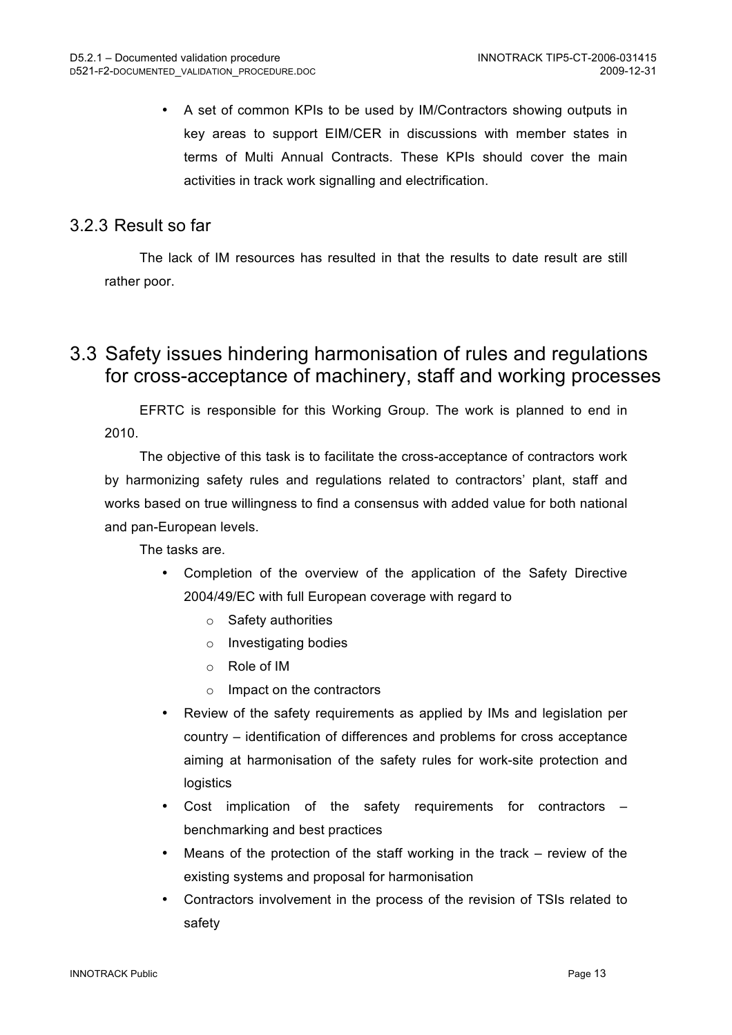• A set of common KPIs to be used by IM/Contractors showing outputs in key areas to support EIM/CER in discussions with member states in terms of Multi Annual Contracts. These KPIs should cover the main activities in track work signalling and electrification.

#### 3.2.3 Result so far

The lack of IM resources has resulted in that the results to date result are still rather poor.

### 3.3 Safety issues hindering harmonisation of rules and regulations for cross-acceptance of machinery, staff and working processes

EFRTC is responsible for this Working Group. The work is planned to end in 2010.

The objective of this task is to facilitate the cross-acceptance of contractors work by harmonizing safety rules and regulations related to contractors' plant, staff and works based on true willingness to find a consensus with added value for both national and pan-European levels.

The tasks are.

- Completion of the overview of the application of the Safety Directive 2004/49/EC with full European coverage with regard to
	- o Safety authorities
	- o Investigating bodies
	- o Role of IM
	- o Impact on the contractors
- Review of the safety requirements as applied by IMs and legislation per country – identification of differences and problems for cross acceptance aiming at harmonisation of the safety rules for work-site protection and logistics
- Cost implication of the safety requirements for contractors benchmarking and best practices
- Means of the protection of the staff working in the track  $-$  review of the existing systems and proposal for harmonisation
- Contractors involvement in the process of the revision of TSIs related to safety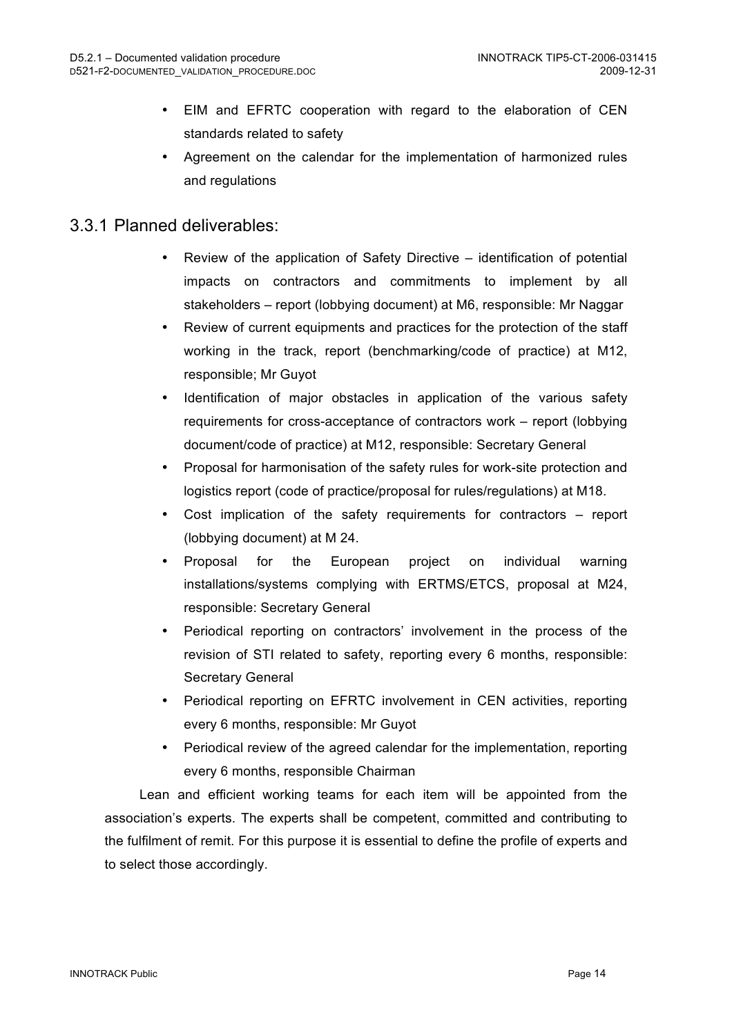- EIM and EFRTC cooperation with regard to the elaboration of CEN standards related to safety
- Agreement on the calendar for the implementation of harmonized rules and regulations

#### 3.3.1 Planned deliverables:

- Review of the application of Safety Directive identification of potential impacts on contractors and commitments to implement by all stakeholders – report (lobbying document) at M6, responsible: Mr Naggar
- Review of current equipments and practices for the protection of the staff working in the track, report (benchmarking/code of practice) at M12, responsible; Mr Guyot
- Identification of major obstacles in application of the various safety requirements for cross-acceptance of contractors work – report (lobbying document/code of practice) at M12, responsible: Secretary General
- Proposal for harmonisation of the safety rules for work-site protection and logistics report (code of practice/proposal for rules/regulations) at M18.
- Cost implication of the safety requirements for contractors  $-$  report (lobbying document) at M 24.
- Proposal for the European project on individual warning installations/systems complying with ERTMS/ETCS, proposal at M24, responsible: Secretary General
- Periodical reporting on contractors' involvement in the process of the revision of STI related to safety, reporting every 6 months, responsible: Secretary General
- Periodical reporting on EFRTC involvement in CEN activities, reporting every 6 months, responsible: Mr Guyot
- Periodical review of the agreed calendar for the implementation, reporting every 6 months, responsible Chairman

Lean and efficient working teams for each item will be appointed from the association's experts. The experts shall be competent, committed and contributing to the fulfilment of remit. For this purpose it is essential to define the profile of experts and to select those accordingly.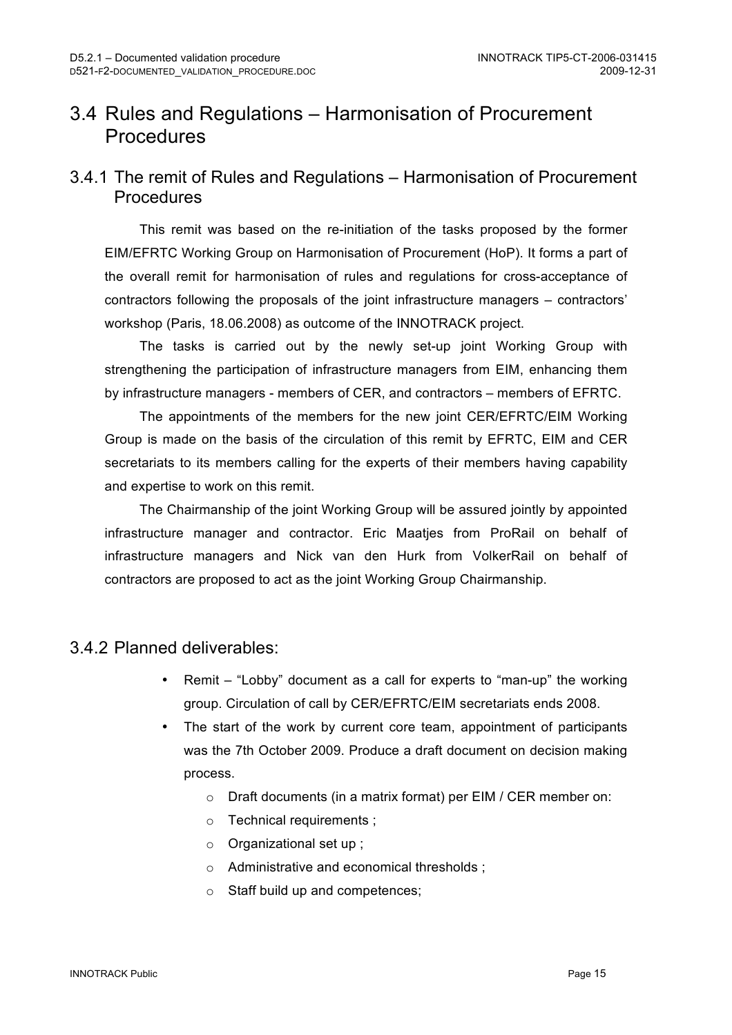## 3.4 Rules and Regulations – Harmonisation of Procurement **Procedures**

#### 3.4.1 The remit of Rules and Regulations – Harmonisation of Procurement **Procedures**

This remit was based on the re-initiation of the tasks proposed by the former EIM/EFRTC Working Group on Harmonisation of Procurement (HoP). It forms a part of the overall remit for harmonisation of rules and regulations for cross-acceptance of contractors following the proposals of the joint infrastructure managers – contractors' workshop (Paris, 18.06.2008) as outcome of the INNOTRACK project.

The tasks is carried out by the newly set-up joint Working Group with strengthening the participation of infrastructure managers from EIM, enhancing them by infrastructure managers - members of CER, and contractors – members of EFRTC.

The appointments of the members for the new joint CER/EFRTC/EIM Working Group is made on the basis of the circulation of this remit by EFRTC, EIM and CER secretariats to its members calling for the experts of their members having capability and expertise to work on this remit.

The Chairmanship of the joint Working Group will be assured jointly by appointed infrastructure manager and contractor. Eric Maatjes from ProRail on behalf of infrastructure managers and Nick van den Hurk from VolkerRail on behalf of contractors are proposed to act as the joint Working Group Chairmanship.

#### 3.4.2 Planned deliverables:

- Remit "Lobby" document as a call for experts to "man-up" the working group. Circulation of call by CER/EFRTC/EIM secretariats ends 2008.
- The start of the work by current core team, appointment of participants was the 7th October 2009. Produce a draft document on decision making process.
	- o Draft documents (in a matrix format) per EIM / CER member on:
	- o Technical requirements ;
	- o Organizational set up ;
	- o Administrative and economical thresholds ;
	- o Staff build up and competences;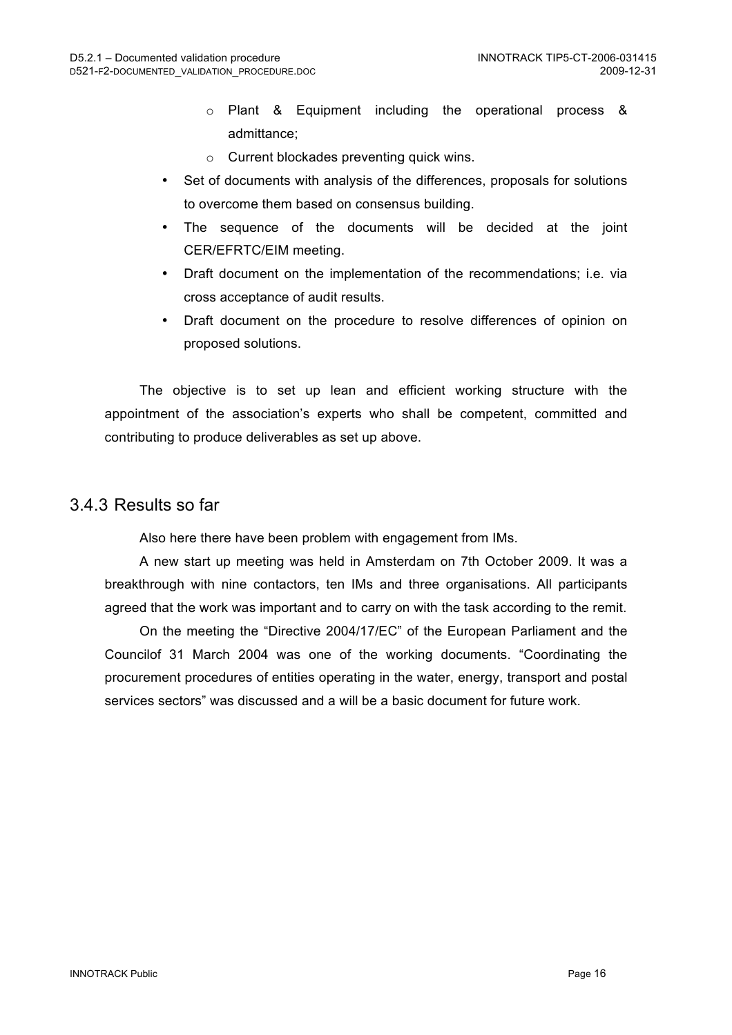- o Plant & Equipment including the operational process & admittance;
- o Current blockades preventing quick wins.
- Set of documents with analysis of the differences, proposals for solutions to overcome them based on consensus building.
- The sequence of the documents will be decided at the joint CER/EFRTC/EIM meeting.
- Draft document on the implementation of the recommendations; i.e. via cross acceptance of audit results.
- Draft document on the procedure to resolve differences of opinion on proposed solutions.

The objective is to set up lean and efficient working structure with the appointment of the association's experts who shall be competent, committed and contributing to produce deliverables as set up above.

#### 3.4.3 Results so far

Also here there have been problem with engagement from IMs.

A new start up meeting was held in Amsterdam on 7th October 2009. It was a breakthrough with nine contactors, ten IMs and three organisations. All participants agreed that the work was important and to carry on with the task according to the remit.

On the meeting the "Directive 2004/17/EC" of the European Parliament and the Councilof 31 March 2004 was one of the working documents. "Coordinating the procurement procedures of entities operating in the water, energy, transport and postal services sectors" was discussed and a will be a basic document for future work.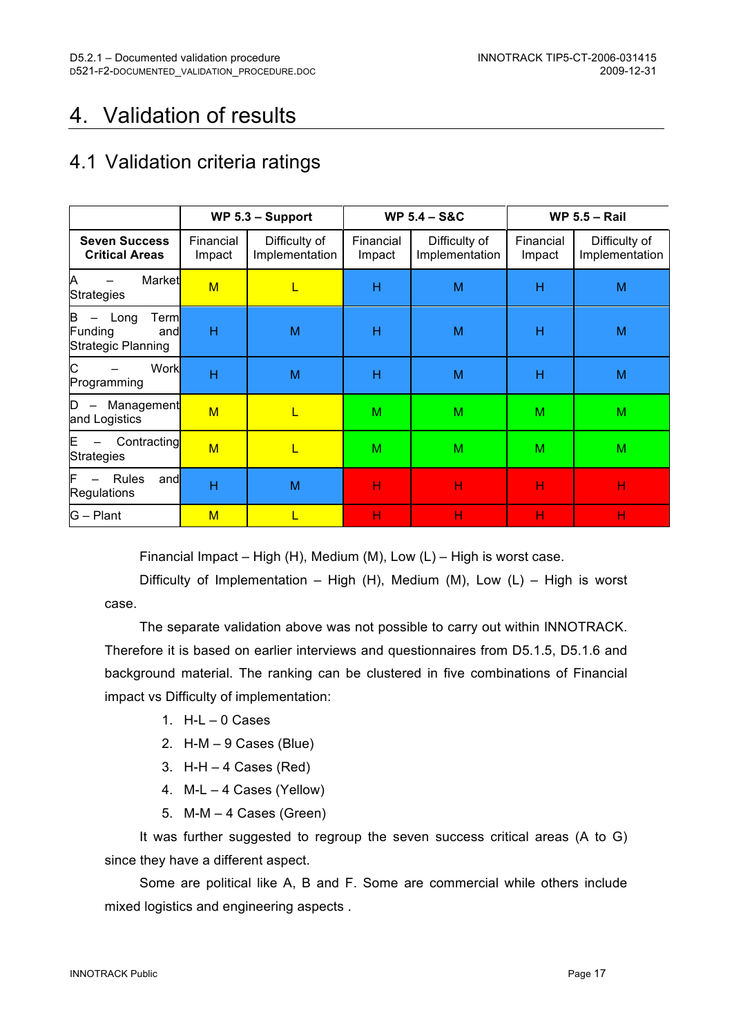# 4. Validation of results

## 4.1 Validation criteria ratings

|                                                            |                     | WP $5.3 -$ Support              |                     | <b>WP 5.4 - S&amp;C</b>         | <b>WP 5.5 - Rail</b> |                                 |  |
|------------------------------------------------------------|---------------------|---------------------------------|---------------------|---------------------------------|----------------------|---------------------------------|--|
| <b>Seven Success</b><br><b>Critical Areas</b>              | Financial<br>Impact | Difficulty of<br>Implementation | Financial<br>Impact | Difficulty of<br>Implementation | Financial<br>Impact  | Difficulty of<br>Implementation |  |
| Α<br>Market<br><b>Strategies</b>                           | $M$                 | L                               | Н                   | M                               | Н                    | M                               |  |
| B<br>Long<br>Terml<br>Funding<br>and<br>Strategic Planning | H                   | M                               | Н                   | M                               | Н                    | M                               |  |
| C<br>Work<br>Programming                                   | H                   | M                               | Н                   | M                               | Н                    | M                               |  |
| Management<br>D<br>and Logistics                           | M                   | L                               | M                   | M                               | M                    | M                               |  |
| Contracting<br>E<br><b>Strategies</b>                      | M                   | L                               | M                   | M                               | M                    | M                               |  |
| Rules<br>F<br>and<br><b>Regulations</b>                    | H                   | M                               | н                   | Н                               | Н                    | Н                               |  |
| $G - Plant$                                                | M                   | L                               | н                   | н                               | н                    | н                               |  |

Financial Impact – High (H), Medium (M), Low (L) – High is worst case.

Difficulty of Implementation – High (H), Medium (M), Low (L) – High is worst case.

The separate validation above was not possible to carry out within INNOTRACK. Therefore it is based on earlier interviews and questionnaires from D5.1.5, D5.1.6 and background material. The ranking can be clustered in five combinations of Financial impact vs Difficulty of implementation:

- 1.  $H-L 0$  Cases
- 2. H-M 9 Cases (Blue)
- 3.  $H-H 4$  Cases (Red)
- 4. M-L 4 Cases (Yellow)
- 5. M-M 4 Cases (Green)

It was further suggested to regroup the seven success critical areas (A to G) since they have a different aspect.

Some are political like A, B and F. Some are commercial while others include mixed logistics and engineering aspects .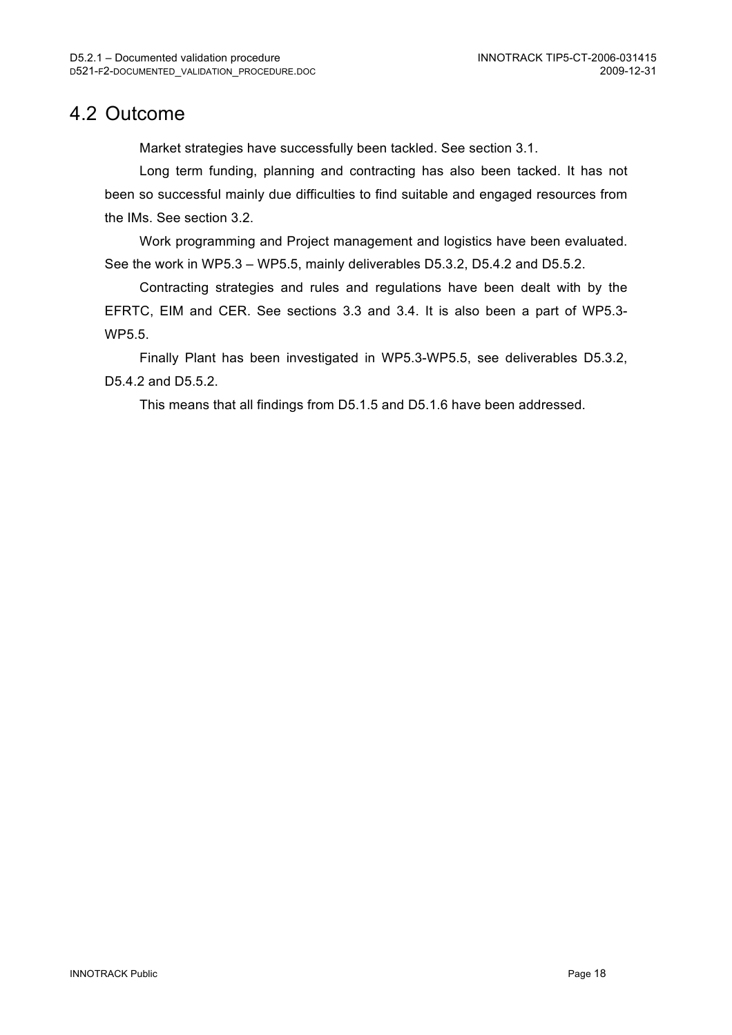### 4.2 Outcome

Market strategies have successfully been tackled. See section 3.1.

Long term funding, planning and contracting has also been tacked. It has not been so successful mainly due difficulties to find suitable and engaged resources from the IMs. See section 3.2.

Work programming and Project management and logistics have been evaluated. See the work in WP5.3 – WP5.5, mainly deliverables D5.3.2, D5.4.2 and D5.5.2.

Contracting strategies and rules and regulations have been dealt with by the EFRTC, EIM and CER. See sections 3.3 and 3.4. It is also been a part of WP5.3- WP5.5.

Finally Plant has been investigated in WP5.3-WP5.5, see deliverables D5.3.2, D5.4.2 and D5.5.2.

This means that all findings from D5.1.5 and D5.1.6 have been addressed.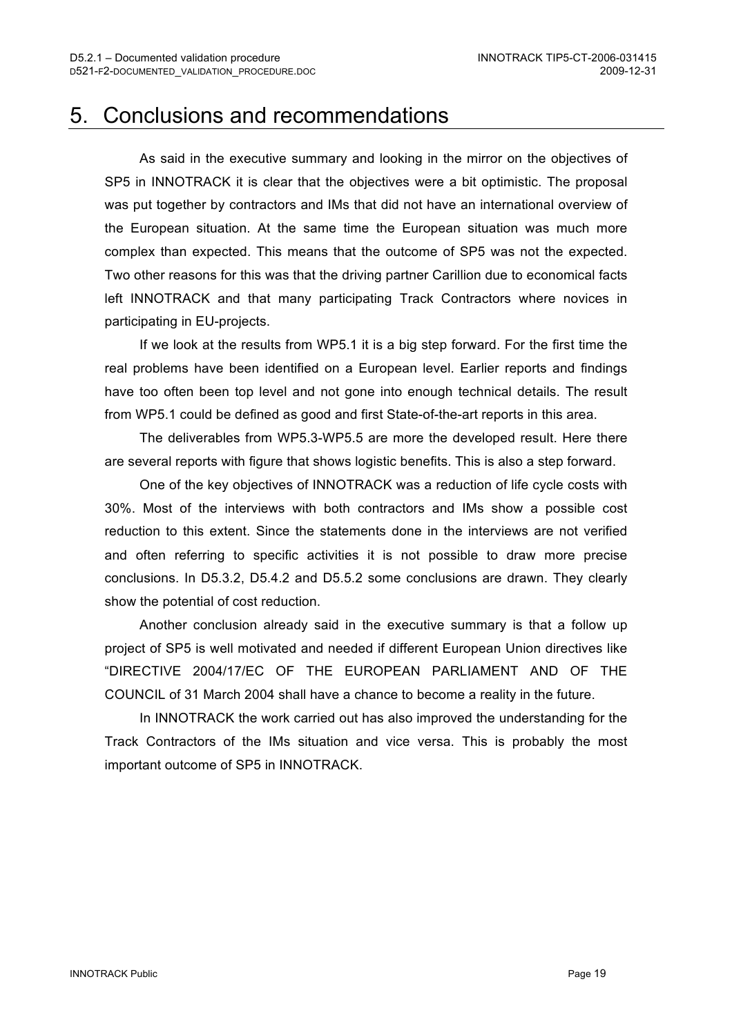## 5. Conclusions and recommendations

As said in the executive summary and looking in the mirror on the objectives of SP5 in INNOTRACK it is clear that the objectives were a bit optimistic. The proposal was put together by contractors and IMs that did not have an international overview of the European situation. At the same time the European situation was much more complex than expected. This means that the outcome of SP5 was not the expected. Two other reasons for this was that the driving partner Carillion due to economical facts left INNOTRACK and that many participating Track Contractors where novices in participating in EU-projects.

If we look at the results from WP5.1 it is a big step forward. For the first time the real problems have been identified on a European level. Earlier reports and findings have too often been top level and not gone into enough technical details. The result from WP5.1 could be defined as good and first State-of-the-art reports in this area.

The deliverables from WP5.3-WP5.5 are more the developed result. Here there are several reports with figure that shows logistic benefits. This is also a step forward.

One of the key objectives of INNOTRACK was a reduction of life cycle costs with 30%. Most of the interviews with both contractors and IMs show a possible cost reduction to this extent. Since the statements done in the interviews are not verified and often referring to specific activities it is not possible to draw more precise conclusions. In D5.3.2, D5.4.2 and D5.5.2 some conclusions are drawn. They clearly show the potential of cost reduction.

Another conclusion already said in the executive summary is that a follow up project of SP5 is well motivated and needed if different European Union directives like "DIRECTIVE 2004/17/EC OF THE EUROPEAN PARLIAMENT AND OF THE COUNCIL of 31 March 2004 shall have a chance to become a reality in the future.

In INNOTRACK the work carried out has also improved the understanding for the Track Contractors of the IMs situation and vice versa. This is probably the most important outcome of SP5 in INNOTRACK.